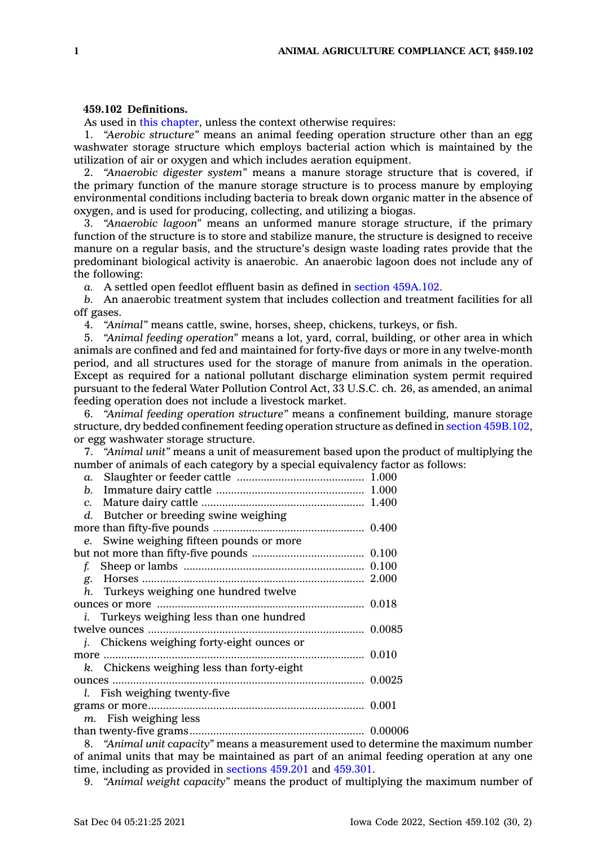## **459.102 Definitions.**

As used in this [chapter](https://www.legis.iowa.gov/docs/code//459.pdf), unless the context otherwise requires:

1. *"Aerobic structure"* means an animal feeding operation structure other than an egg washwater storage structure which employs bacterial action which is maintained by the utilization of air or oxygen and which includes aeration equipment.

2. *"Anaerobic digester system"* means <sup>a</sup> manure storage structure that is covered, if the primary function of the manure storage structure is to process manure by employing environmental conditions including bacteria to break down organic matter in the absence of oxygen, and is used for producing, collecting, and utilizing <sup>a</sup> biogas.

3. *"Anaerobic lagoon"* means an unformed manure storage structure, if the primary function of the structure is to store and stabilize manure, the structure is designed to receive manure on <sup>a</sup> regular basis, and the structure's design waste loading rates provide that the predominant biological activity is anaerobic. An anaerobic lagoon does not include any of the following:

*a.* A settled open feedlot effluent basin as defined in section [459A.102](https://www.legis.iowa.gov/docs/code/459A.102.pdf).

*b.* An anaerobic treatment system that includes collection and treatment facilities for all off gases.

4. *"Animal"* means cattle, swine, horses, sheep, chickens, turkeys, or fish.

5. *"Animal feeding operation"* means <sup>a</sup> lot, yard, corral, building, or other area in which animals are confined and fed and maintained for forty-five days or more in any twelve-month period, and all structures used for the storage of manure from animals in the operation. Except as required for <sup>a</sup> national pollutant discharge elimination system permit required pursuant to the federal Water Pollution Control Act, 33 U.S.C. ch. 26, as amended, an animal feeding operation does not include <sup>a</sup> livestock market.

6. *"Animal feeding operation structure"* means <sup>a</sup> confinement building, manure storage structure, dry bedded confinement feeding operation structure as defined in section [459B.102](https://www.legis.iowa.gov/docs/code/459B.102.pdf), or egg washwater storage structure.

7. *"Animal unit"* means <sup>a</sup> unit of measurement based upon the product of multiplying the number of animals of each category by <sup>a</sup> special equivalency factor as follows:

| d. Butcher or breeding swine weighing            |  |
|--------------------------------------------------|--|
|                                                  |  |
| e. Swine weighing fifteen pounds or more         |  |
|                                                  |  |
|                                                  |  |
|                                                  |  |
| h. Turkeys weighing one hundred twelve           |  |
|                                                  |  |
| <i>i.</i> Turkeys weighing less than one hundred |  |
|                                                  |  |
| j. Chickens weighing forty-eight ounces or       |  |
|                                                  |  |
| k. Chickens weighing less than forty-eight       |  |
|                                                  |  |
| l. Fish weighing twenty-five                     |  |
|                                                  |  |
| $m$ . Fish weighing less                         |  |
|                                                  |  |
|                                                  |  |

8. *"Animal unit capacity"* means <sup>a</sup> measurement used to determine the maximum number of animal units that may be maintained as part of an animal feeding operation at any one time, including as provided in [sections](https://www.legis.iowa.gov/docs/code/459.201.pdf) 459.201 and [459.301](https://www.legis.iowa.gov/docs/code/459.301.pdf).

9. *"Animal weight capacity"* means the product of multiplying the maximum number of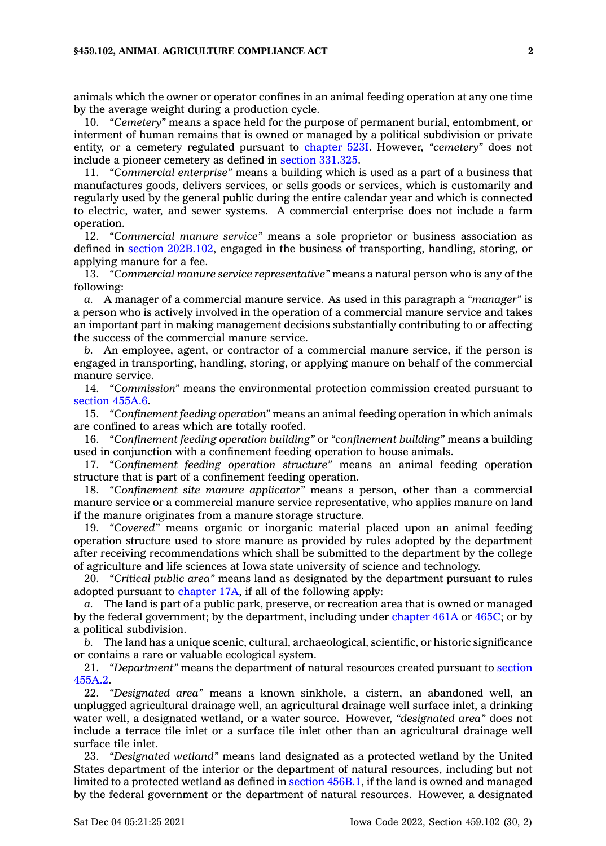animals which the owner or operator confines in an animal feeding operation at any one time by the average weight during <sup>a</sup> production cycle.

10. *"Cemetery"* means <sup>a</sup> space held for the purpose of permanent burial, entombment, or interment of human remains that is owned or managed by <sup>a</sup> political subdivision or private entity, or <sup>a</sup> cemetery regulated pursuant to [chapter](https://www.legis.iowa.gov/docs/code//523I.pdf) 523I. However, *"cemetery"* does not include <sup>a</sup> pioneer cemetery as defined in section [331.325](https://www.legis.iowa.gov/docs/code/331.325.pdf).

11. *"Commercial enterprise"* means <sup>a</sup> building which is used as <sup>a</sup> part of <sup>a</sup> business that manufactures goods, delivers services, or sells goods or services, which is customarily and regularly used by the general public during the entire calendar year and which is connected to electric, water, and sewer systems. A commercial enterprise does not include <sup>a</sup> farm operation.

12. *"Commercial manure service"* means <sup>a</sup> sole proprietor or business association as defined in section [202B.102](https://www.legis.iowa.gov/docs/code/202B.102.pdf), engaged in the business of transporting, handling, storing, or applying manure for <sup>a</sup> fee.

13. *"Commercial manure service representative"* means <sup>a</sup> natural person who is any of the following:

*a.* A manager of <sup>a</sup> commercial manure service. As used in this paragraph <sup>a</sup> *"manager"* is <sup>a</sup> person who is actively involved in the operation of <sup>a</sup> commercial manure service and takes an important part in making management decisions substantially contributing to or affecting the success of the commercial manure service.

*b.* An employee, agent, or contractor of <sup>a</sup> commercial manure service, if the person is engaged in transporting, handling, storing, or applying manure on behalf of the commercial manure service.

14. *"Commission"* means the environmental protection commission created pursuant to [section](https://www.legis.iowa.gov/docs/code/455A.6.pdf) 455A.6.

15. *"Confinement feeding operation"* means an animal feeding operation in which animals are confined to areas which are totally roofed.

16. *"Confinement feeding operation building"* or *"confinement building"* means <sup>a</sup> building used in conjunction with <sup>a</sup> confinement feeding operation to house animals.

17. *"Confinement feeding operation structure"* means an animal feeding operation structure that is part of <sup>a</sup> confinement feeding operation.

18. *"Confinement site manure applicator"* means <sup>a</sup> person, other than <sup>a</sup> commercial manure service or <sup>a</sup> commercial manure service representative, who applies manure on land if the manure originates from <sup>a</sup> manure storage structure.

19. *"Covered"* means organic or inorganic material placed upon an animal feeding operation structure used to store manure as provided by rules adopted by the department after receiving recommendations which shall be submitted to the department by the college of agriculture and life sciences at Iowa state university of science and technology.

20. *"Critical public area"* means land as designated by the department pursuant to rules adopted pursuant to [chapter](https://www.legis.iowa.gov/docs/code//17A.pdf) 17A, if all of the following apply:

*a.* The land is part of <sup>a</sup> public park, preserve, or recreation area that is owned or managed by the federal government; by the department, including under [chapter](https://www.legis.iowa.gov/docs/code//461A.pdf) 461A or [465C](https://www.legis.iowa.gov/docs/code//465C.pdf); or by <sup>a</sup> political subdivision.

*b.* The land has <sup>a</sup> unique scenic, cultural, archaeological, scientific, or historic significance or contains <sup>a</sup> rare or valuable ecological system.

21. *"Department"* means the department of natural resources created pursuant to [section](https://www.legis.iowa.gov/docs/code/455A.2.pdf) [455A.2](https://www.legis.iowa.gov/docs/code/455A.2.pdf).

22. *"Designated area"* means <sup>a</sup> known sinkhole, <sup>a</sup> cistern, an abandoned well, an unplugged agricultural drainage well, an agricultural drainage well surface inlet, <sup>a</sup> drinking water well, <sup>a</sup> designated wetland, or <sup>a</sup> water source. However, *"designated area"* does not include <sup>a</sup> terrace tile inlet or <sup>a</sup> surface tile inlet other than an agricultural drainage well surface tile inlet.

23. *"Designated wetland"* means land designated as <sup>a</sup> protected wetland by the United States department of the interior or the department of natural resources, including but not limited to <sup>a</sup> protected wetland as defined in section [456B.1](https://www.legis.iowa.gov/docs/code/456B.1.pdf), if the land is owned and managed by the federal government or the department of natural resources. However, <sup>a</sup> designated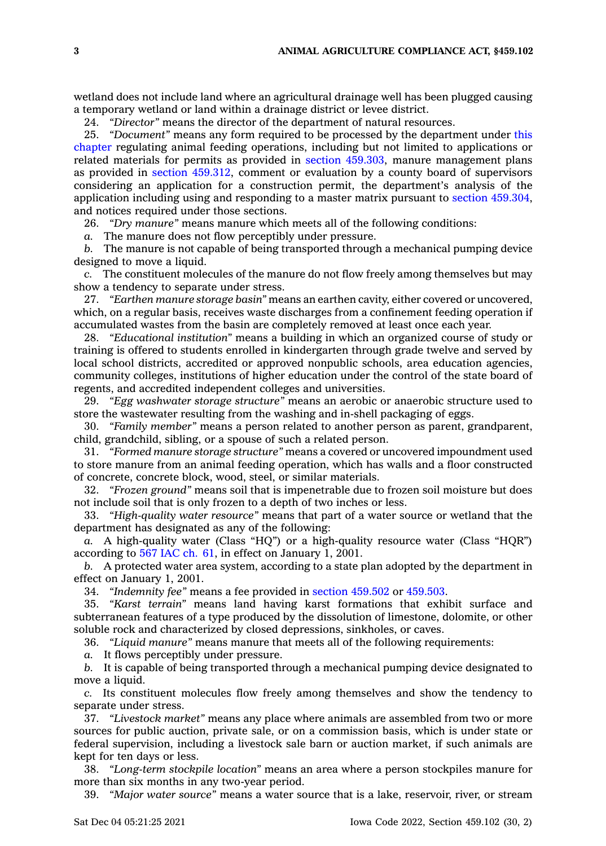wetland does not include land where an agricultural drainage well has been plugged causing <sup>a</sup> temporary wetland or land within <sup>a</sup> drainage district or levee district.

24. *"Director"* means the director of the department of natural resources.

25. *"Document"* means any form required to be processed by the department under [this](https://www.legis.iowa.gov/docs/code//459.pdf) [chapter](https://www.legis.iowa.gov/docs/code//459.pdf) regulating animal feeding operations, including but not limited to applications or related materials for permits as provided in section [459.303](https://www.legis.iowa.gov/docs/code/459.303.pdf), manure management plans as provided in section [459.312](https://www.legis.iowa.gov/docs/code/459.312.pdf), comment or evaluation by <sup>a</sup> county board of supervisors considering an application for <sup>a</sup> construction permit, the department's analysis of the application including using and responding to <sup>a</sup> master matrix pursuant to section [459.304](https://www.legis.iowa.gov/docs/code/459.304.pdf), and notices required under those sections.

26. *"Dry manure"* means manure which meets all of the following conditions:

*a.* The manure does not flow perceptibly under pressure.

*b.* The manure is not capable of being transported through <sup>a</sup> mechanical pumping device designed to move <sup>a</sup> liquid.

*c.* The constituent molecules of the manure do not flow freely among themselves but may show <sup>a</sup> tendency to separate under stress.

27. *"Earthen manure storage basin"* means an earthen cavity, either covered or uncovered, which, on <sup>a</sup> regular basis, receives waste discharges from <sup>a</sup> confinement feeding operation if accumulated wastes from the basin are completely removed at least once each year.

28. *"Educational institution"* means <sup>a</sup> building in which an organized course of study or training is offered to students enrolled in kindergarten through grade twelve and served by local school districts, accredited or approved nonpublic schools, area education agencies, community colleges, institutions of higher education under the control of the state board of regents, and accredited independent colleges and universities.

29. *"Egg washwater storage structure"* means an aerobic or anaerobic structure used to store the wastewater resulting from the washing and in-shell packaging of eggs.

30. *"Family member"* means <sup>a</sup> person related to another person as parent, grandparent, child, grandchild, sibling, or <sup>a</sup> spouse of such <sup>a</sup> related person.

31. *"Formed manure storage structure"* means <sup>a</sup> covered or uncovered impoundment used to store manure from an animal feeding operation, which has walls and <sup>a</sup> floor constructed of concrete, concrete block, wood, steel, or similar materials.

32. *"Frozen ground"* means soil that is impenetrable due to frozen soil moisture but does not include soil that is only frozen to <sup>a</sup> depth of two inches or less.

33. *"High-quality water resource"* means that part of <sup>a</sup> water source or wetland that the department has designated as any of the following:

*a.* A high-quality water (Class "HQ") or <sup>a</sup> high-quality resource water (Class "HQR") according to 567 [IAC](https://www.legis.iowa.gov/docs/ACO/chapter/567.61.pdf) ch. 61, in effect on January 1, 2001.

*b.* A protected water area system, according to <sup>a</sup> state plan adopted by the department in effect on January 1, 2001.

34. *"Indemnity fee"* means <sup>a</sup> fee provided in section [459.502](https://www.legis.iowa.gov/docs/code/459.502.pdf) or [459.503](https://www.legis.iowa.gov/docs/code/459.503.pdf).

35. *"Karst terrain"* means land having karst formations that exhibit surface and subterranean features of <sup>a</sup> type produced by the dissolution of limestone, dolomite, or other soluble rock and characterized by closed depressions, sinkholes, or caves.

36. *"Liquid manure"* means manure that meets all of the following requirements:

*a.* It flows perceptibly under pressure.

*b.* It is capable of being transported through <sup>a</sup> mechanical pumping device designated to move <sup>a</sup> liquid.

*c.* Its constituent molecules flow freely among themselves and show the tendency to separate under stress.

37. *"Livestock market"* means any place where animals are assembled from two or more sources for public auction, private sale, or on <sup>a</sup> commission basis, which is under state or federal supervision, including <sup>a</sup> livestock sale barn or auction market, if such animals are kept for ten days or less.

38. *"Long-term stockpile location"* means an area where <sup>a</sup> person stockpiles manure for more than six months in any two-year period.

39. *"Major water source"* means <sup>a</sup> water source that is <sup>a</sup> lake, reservoir, river, or stream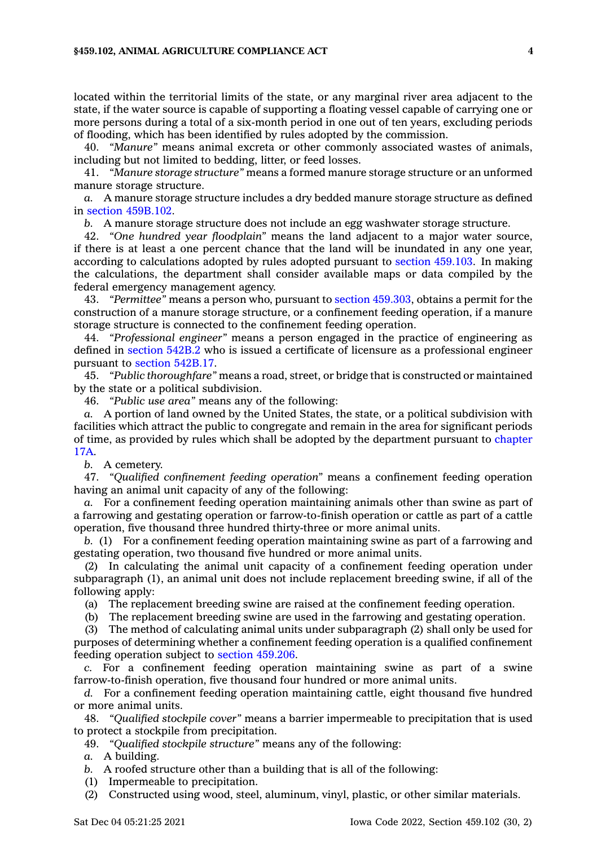## **§459.102, ANIMAL AGRICULTURE COMPLIANCE ACT 4**

located within the territorial limits of the state, or any marginal river area adjacent to the state, if the water source is capable of supporting <sup>a</sup> floating vessel capable of carrying one or more persons during <sup>a</sup> total of <sup>a</sup> six-month period in one out of ten years, excluding periods of flooding, which has been identified by rules adopted by the commission.

40. *"Manure"* means animal excreta or other commonly associated wastes of animals, including but not limited to bedding, litter, or feed losses.

41. *"Manure storage structure"* means <sup>a</sup> formed manure storage structure or an unformed manure storage structure.

*a.* A manure storage structure includes <sup>a</sup> dry bedded manure storage structure as defined in section [459B.102](https://www.legis.iowa.gov/docs/code/459B.102.pdf).

*b.* A manure storage structure does not include an egg washwater storage structure.

42. *"One hundred year floodplain"* means the land adjacent to <sup>a</sup> major water source, if there is at least <sup>a</sup> one percent chance that the land will be inundated in any one year, according to calculations adopted by rules adopted pursuant to section [459.103](https://www.legis.iowa.gov/docs/code/459.103.pdf). In making the calculations, the department shall consider available maps or data compiled by the federal emergency management agency.

43. *"Permittee"* means <sup>a</sup> person who, pursuant to section [459.303](https://www.legis.iowa.gov/docs/code/459.303.pdf), obtains <sup>a</sup> permit for the construction of <sup>a</sup> manure storage structure, or <sup>a</sup> confinement feeding operation, if <sup>a</sup> manure storage structure is connected to the confinement feeding operation.

44. *"Professional engineer"* means <sup>a</sup> person engaged in the practice of engineering as defined in [section](https://www.legis.iowa.gov/docs/code/542B.2.pdf) 542B.2 who is issued <sup>a</sup> certificate of licensure as <sup>a</sup> professional engineer pursuant to section [542B.17](https://www.legis.iowa.gov/docs/code/542B.17.pdf).

45. *"Public thoroughfare"* means <sup>a</sup> road, street, or bridge that is constructed or maintained by the state or <sup>a</sup> political subdivision.

46. *"Public use area"* means any of the following:

*a.* A portion of land owned by the United States, the state, or <sup>a</sup> political subdivision with facilities which attract the public to congregate and remain in the area for significant periods of time, as provided by rules which shall be adopted by the department pursuant to [chapter](https://www.legis.iowa.gov/docs/code//17A.pdf) [17A](https://www.legis.iowa.gov/docs/code//17A.pdf).

*b.* A cemetery.

47. *"Qualified confinement feeding operation"* means <sup>a</sup> confinement feeding operation having an animal unit capacity of any of the following:

*a.* For <sup>a</sup> confinement feeding operation maintaining animals other than swine as part of <sup>a</sup> farrowing and gestating operation or farrow-to-finish operation or cattle as part of <sup>a</sup> cattle operation, five thousand three hundred thirty-three or more animal units.

*b.* (1) For <sup>a</sup> confinement feeding operation maintaining swine as part of <sup>a</sup> farrowing and gestating operation, two thousand five hundred or more animal units.

(2) In calculating the animal unit capacity of <sup>a</sup> confinement feeding operation under subparagraph (1), an animal unit does not include replacement breeding swine, if all of the following apply:

(a) The replacement breeding swine are raised at the confinement feeding operation.

(b) The replacement breeding swine are used in the farrowing and gestating operation.

(3) The method of calculating animal units under subparagraph (2) shall only be used for purposes of determining whether <sup>a</sup> confinement feeding operation is <sup>a</sup> qualified confinement feeding operation subject to section [459.206](https://www.legis.iowa.gov/docs/code/459.206.pdf).

*c.* For <sup>a</sup> confinement feeding operation maintaining swine as part of <sup>a</sup> swine farrow-to-finish operation, five thousand four hundred or more animal units.

*d.* For <sup>a</sup> confinement feeding operation maintaining cattle, eight thousand five hundred or more animal units.

48. *"Qualified stockpile cover"* means <sup>a</sup> barrier impermeable to precipitation that is used to protect <sup>a</sup> stockpile from precipitation.

49. *"Qualified stockpile structure"* means any of the following:

*a.* A building.

*b.* A roofed structure other than <sup>a</sup> building that is all of the following:

(1) Impermeable to precipitation.

(2) Constructed using wood, steel, aluminum, vinyl, plastic, or other similar materials.